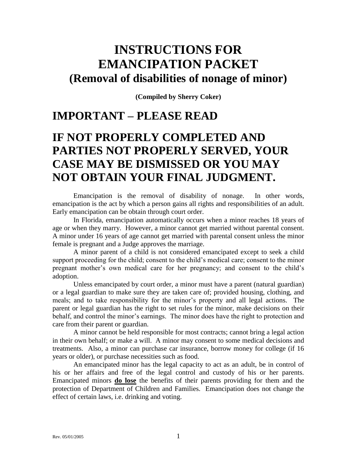# **INSTRUCTIONS FOR EMANCIPATION PACKET (Removal of disabilities of nonage of minor)**

**(Compiled by Sherry Coker)**

## **IMPORTANT – PLEASE READ**

## **IF NOT PROPERLY COMPLETED AND PARTIES NOT PROPERLY SERVED, YOUR CASE MAY BE DISMISSED OR YOU MAY NOT OBTAIN YOUR FINAL JUDGMENT.**

Emancipation is the removal of disability of nonage. In other words, emancipation is the act by which a person gains all rights and responsibilities of an adult. Early emancipation can be obtain through court order.

In Florida, emancipation automatically occurs when a minor reaches 18 years of age or when they marry. However, a minor cannot get married without parental consent. A minor under 16 years of age cannot get married with parental consent unless the minor female is pregnant and a Judge approves the marriage.

A minor parent of a child is not considered emancipated except to seek a child support proceeding for the child; consent to the child's medical care; consent to the minor pregnant mother's own medical care for her pregnancy; and consent to the child's adoption.

Unless emancipated by court order, a minor must have a parent (natural guardian) or a legal guardian to make sure they are taken care of; provided housing, clothing, and meals; and to take responsibility for the minor's property and all legal actions. The parent or legal guardian has the right to set rules for the minor, make decisions on their behalf, and control the minor's earnings. The minor does have the right to protection and care from their parent or guardian.

A minor cannot be held responsible for most contracts; cannot bring a legal action in their own behalf; or make a will. A minor may consent to some medical decisions and treatments. Also, a minor can purchase car insurance, borrow money for college (if 16 years or older), or purchase necessities such as food.

An emancipated minor has the legal capacity to act as an adult, be in control of his or her affairs and free of the legal control and custody of his or her parents. Emancipated minors **do lose** the benefits of their parents providing for them and the protection of Department of Children and Families. Emancipation does not change the effect of certain laws, i.e. drinking and voting.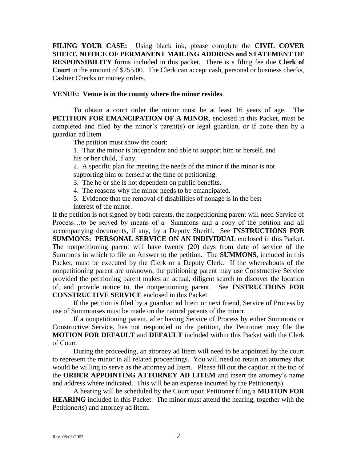**FILING YOUR CASE:** Using black ink, please complete the **CIVIL COVER SHEET, NOTICE OF PERMANENT MAILING ADDRESS and STATEMENT OF RESPONSIBILITY** forms included in this packet. There is a filing fee due **Clerk of Court** in the amount of \$255.00. The Clerk can accept cash, personal or business checks, Cashier Checks or money orders.

#### **VENUE: Venue is in the county where the minor resides**.

To obtain a court order the minor must be at least 16 years of age. The **PETITION FOR EMANCIPATION OF A MINOR**, enclosed in this Packet, must be completed and filed by the minor's parent(s) or legal guardian, or if none then by a guardian ad litem

The petition must show the court:

1. That the minor is independent and able to support him or herself, and his or her child, if any.

2. A specific plan for meeting the needs of the minor if the minor is not supporting him or herself at the time of petitioning.

3. The he or she is not dependent on public benefits.

4. The reasons why the minor needs to be emancipated.

5. Evidence that the removal of disabilities of nonage is in the best interest of the minor.

If the petition is not signed by both parents, the nonpetitioning parent will need Service of Process…to be served by means of a Summons and a copy of the petition and all accompanying documents, if any, by a Deputy Sheriff. See **INSTRUCTIONS FOR SUMMONS: PERSONAL SERVICE ON AN INDIVIDUAL** enclosed in this Packet. The nonpetitioning parent will have twenty (20) days from date of service of the Summons in which to file an Answer to the petition. The **SUMMONS**, included in this Packet, must be executed by the Clerk or a Deputy Clerk. If the whereabouts of the nonpetitioning parent are unknown, the petitioning parent may use Constructive Service provided the petitioning parent makes an actual, diligent search to discover the location of, and provide notice to, the nonpetitioning parent. See **INSTRUCTIONS FOR CONSTRUCTIVE SERVICE** enclosed in this Packet.

If the petition is filed by a guardian ad litem or next friend, Service of Process by use of Summonses must be made on the natural parents of the minor.

If a nonpetitioning parent, after having Service of Process by either Summons or Constructive Service, has not responded to the petition, the Petitioner may file the **MOTION FOR DEFAULT** and **DEFAULT** included within this Packet with the Clerk of Court.

During the proceeding, an attorney ad litem will need to be appointed by the court to represent the minor in all related proceedings. You will need to retain an attorney that would be willing to serve as the attorney ad litem. Please fill out the caption at the top of the **ORDER APPOINTING ATTORNEY AD LITEM** and insert the attorney's name and address where indicated. This will be an expense incurred by the Petitioner(s).

A hearing will be scheduled by the Court upon Petitioner filing a **MOTION FOR HEARING** included in this Packet. The minor must attend the hearing, together with the Petitioner(s) and attorney ad litem.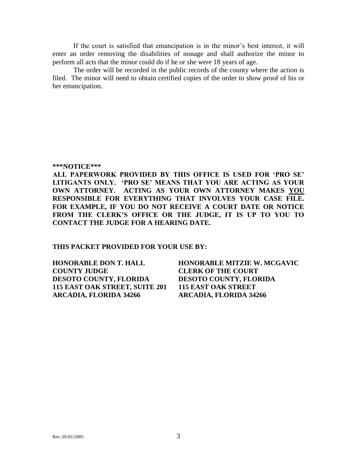If the court is satisfied that emancipation is in the minor's best interest, it will enter an order removing the disabilities of nonage and shall authorize the minor to perform all acts that the minor could do if he or she were 18 years of age.

The order will be recorded in the public records of the county where the action is filed. The minor will need to obtain certified copies of the order to show proof of his or her emancipation.

#### **\*\*\*NOTICE\*\*\***

**ALL PAPERWORK PROVIDED BY THIS OFFICE IS USED FOR 'PRO SE' LITIGANTS ONLY. 'PRO SE' MEANS THAT YOU ARE ACTING AS YOUR OWN ATTORNEY. ACTING AS YOUR OWN ATTORNEY MAKES YOU RESPONSIBLE FOR EVERYTHING THAT INVOLVES YOUR CASE FILE. FOR EXAMPLE, IF YOU DO NOT RECEIVE A COURT DATE OR NOTICE FROM THE CLERK'S OFFICE OR THE JUDGE, IT IS UP TO YOU TO CONTACT THE JUDGE FOR A HEARING DATE.**

#### **THIS PACKET PROVIDED FOR YOUR USE BY:**

| <b>HONORABLE DON T. HALL</b>   | <b>HONORABLE MITZIE W. MCGAVIC</b> |
|--------------------------------|------------------------------------|
| <b>COUNTY JUDGE</b>            | <b>CLERK OF THE COURT</b>          |
| <b>DESOTO COUNTY, FLORIDA</b>  | <b>DESOTO COUNTY, FLORIDA</b>      |
| 115 EAST OAK STREET, SUITE 201 | <b>115 EAST OAK STREET</b>         |
| <b>ARCADIA, FLORIDA 34266</b>  | ARCADIA, FLORIDA 34266             |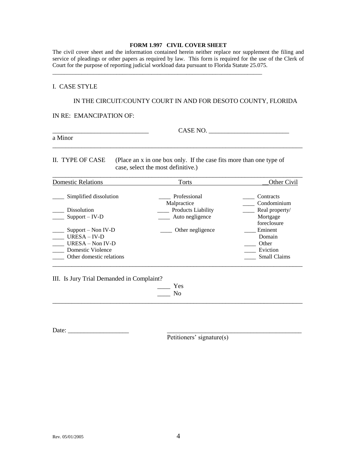#### **FORM 1.997 CIVIL COVER SHEET**

The civil cover sheet and the information contained herein neither replace nor supplement the filing and service of pleadings or other papers as required by law. This form is required for the use of the Clerk of Court for the purpose of reporting judicial workload data pursuant to Florida Statute 25.075.

\_\_\_\_\_\_\_\_\_\_\_\_\_\_\_\_\_\_\_\_\_\_\_\_\_\_\_\_\_\_\_\_\_\_\_\_\_\_\_\_\_\_\_\_\_\_\_\_\_\_\_\_\_\_\_\_\_\_\_\_\_\_\_\_\_\_\_\_\_\_\_\_

#### I. CASE STYLE

#### IN THE CIRCUIT/COUNTY COURT IN AND FOR DESOTO COUNTY, FLORIDA

IN RE: EMANCIPATION OF:

a Minor

\_\_\_\_\_\_\_\_\_\_\_\_\_\_\_\_\_\_\_\_\_\_\_\_\_\_\_\_\_\_ CASE NO. \_\_\_\_\_\_\_\_\_\_\_\_\_\_\_\_\_\_\_\_\_\_\_\_\_

II. TYPE OF CASE (Place an x in one box only. If the case fits more than one type of case, select the most definitive.)

\_\_\_\_\_\_\_\_\_\_\_\_\_\_\_\_\_\_\_\_\_\_\_\_\_\_\_\_\_\_\_\_\_\_\_\_\_\_\_\_\_\_\_\_\_\_\_\_\_\_\_\_\_\_\_\_\_\_\_\_\_\_\_\_\_\_\_\_\_\_\_\_\_\_\_\_\_\_

| <b>Domestic Relations</b>                                                                                     | Torts                       | Other Civil                                            |
|---------------------------------------------------------------------------------------------------------------|-----------------------------|--------------------------------------------------------|
| Simplified dissolution                                                                                        | Professional<br>Malpractice | Contracts<br>Condominium                               |
| <b>Dissolution</b>                                                                                            | <b>Products Liability</b>   | Real property/                                         |
| $Support - IV-D$                                                                                              | Auto negligence             | Mortgage<br>foreclosure                                |
| $Support - Non IV-D$<br>$URESA - IV-D$<br>$URESA - Non IV-D$<br>Domestic Violence<br>Other domestic relations | Other negligence            | Eminent<br>Domain<br>Other<br>Eviction<br>Small Claims |

III. Is Jury Trial Demanded in Complaint?

 $\_\_$  Yes \_\_\_\_ No

\_\_\_\_\_\_\_\_\_\_\_\_\_\_\_\_\_\_\_\_\_\_\_\_\_\_\_\_\_\_\_\_\_\_\_\_\_\_\_\_\_\_\_\_\_\_\_\_\_\_\_\_\_\_\_\_\_\_\_\_\_\_\_\_\_\_\_\_\_\_\_\_\_\_\_\_\_\_

Date:

Petitioners' signature(s)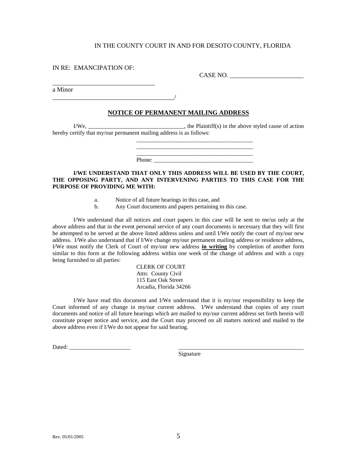IN RE: EMANCIPATION OF:

\_\_\_\_\_\_\_\_\_\_\_\_\_\_\_\_\_\_\_\_\_\_\_\_\_\_\_\_\_\_\_\_

\_\_\_\_\_\_\_\_\_\_\_\_\_\_\_\_\_\_\_\_\_\_\_\_\_\_\_\_\_\_\_\_\_\_\_\_\_\_/

CASE NO. \_\_\_\_\_\_\_\_\_\_\_\_\_\_\_\_\_\_\_\_\_\_\_

a Minor

#### **NOTICE OF PERMANENT MAILING ADDRESS**

 $I/We$ , \_\_\_\_\_\_\_\_\_\_\_\_\_\_\_\_\_\_\_\_\_\_\_\_\_\_\_\_\_\_\_\_\_\_, the Plaintiff(s) in the above styled cause of action hereby certify that my/our permanent mailing address is as follows:

> \_\_\_\_\_\_\_\_\_\_\_\_\_\_\_\_\_\_\_\_\_\_\_\_\_\_\_\_\_\_\_\_\_\_\_\_\_\_\_\_ Phone:

> \_\_\_\_\_\_\_\_\_\_\_\_\_\_\_\_\_\_\_\_\_\_\_\_\_\_\_\_\_\_\_\_\_\_\_\_\_\_\_\_

**I/WE UNDERSTAND THAT ONLY THIS ADDRESS WILL BE USED BY THE COURT, THE OPPOSING PARTY, AND ANY INTERVENING PARTIES TO THIS CASE FOR THE PURPOSE OF PROVIDING ME WITH:**

- a. Notice of all future hearings in this case, and
- b. Any Court documents and papers pertaining to this case.

I/We understand that all notices and court papers in this case will be sent to me/us only at the above address and that in the event personal service of any court documents is necessary that they will first be attempted to be served at the above listed address unless and until I/We notify the court of my/our new address. I/We also understand that if I/We change my/our permanent mailing address or residence address, I/We must notify the Clerk of Court of my/our new address **in writing** by completion of another form similar to this form at the following address within one week of the change of address and with a copy being furnished to all parties:

> CLERK OF COURT Attn: County Civil 115 East Oak Street Arcadia, Florida 34266

I/We have read this document and I/We understand that it is my/our responsibility to keep the Court informed of any change in my/our current address. I/We understand that copies of any court documents and notice of all future hearings which are mailed to my/our current address set forth herein will constitute proper notice and service, and the Court may proceed on all matters noticed and mailed to the above address even if I/We do not appear for said hearing.

Dated: \_\_\_\_\_\_\_\_\_\_\_\_\_\_\_\_\_\_\_\_\_ \_\_\_\_\_\_\_\_\_\_\_\_\_\_\_\_\_\_\_\_\_\_\_\_\_\_\_\_\_\_\_\_\_\_\_\_\_\_\_\_\_\_\_

Signature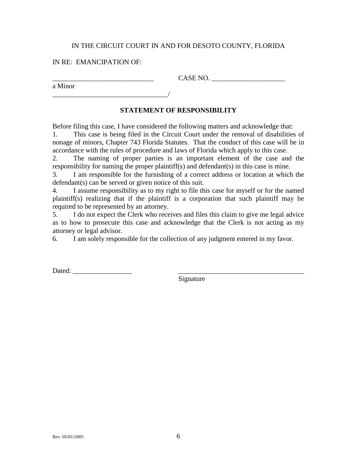### IN RE: EMANCIPATION OF:

a Minor

CASE NO.

\_\_\_\_\_\_\_\_\_\_\_\_\_\_\_\_\_\_\_\_\_\_\_\_\_\_\_\_\_\_\_\_\_/

### **STATEMENT OF RESPONSIBILITY**

Before filing this case, I have considered the following matters and acknowledge that: 1. This case is being filed in the Circuit Court under the removal of disabilities of nonage of minors, Chapter 743 Florida Statutes. That the conduct of this case will be in accordance with the rules of procedure and laws of Florida which apply to this case.

2. The naming of proper parties is an important element of the case and the responsibility for naming the proper plaintiff(s) and defendant(s) in this case is mine.

3. I am responsible for the furnishing of a correct address or location at which the defendant(s) can be served or given notice of this suit.

4. I assume responsibility as to my right to file this case for myself or for the named plaintiff(s) realizing that if the plaintiff is a corporation that such plaintiff may be required to be represented by an attorney.

5. I do not expect the Clerk who receives and files this claim to give me legal advice as to how to prosecute this case and acknowledge that the Clerk is not acting as my attorney or legal advisor.

6. I am solely responsible for the collection of any judgment entered in my favor.

Dated: \_\_\_\_\_\_\_\_\_\_\_\_\_\_\_\_\_ \_\_\_\_\_\_\_\_\_\_\_\_\_\_\_\_\_\_\_\_\_\_\_\_\_\_\_\_\_\_\_\_\_\_\_\_

Signature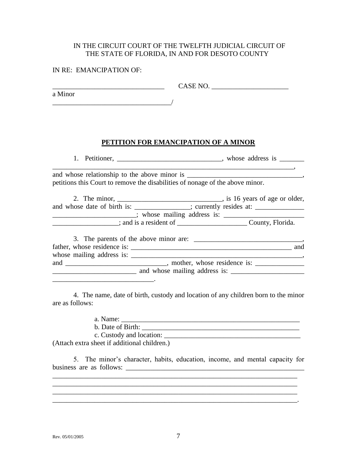### IN THE CIRCUIT COURT OF THE TWELFTH JUDICIAL CIRCUIT OF THE STATE OF FLORIDA, IN AND FOR DESOTO COUNTY

#### IN RE: EMANCIPATION OF:

 $CASE NO.$ 

a Minor  $\overline{\phantom{a}}$ 

### **PETITION FOR EMANCIPATION OF A MINOR**

1. Petitioner, \_\_\_\_\_\_\_\_\_\_\_\_\_\_\_\_\_\_\_\_\_\_\_\_\_\_\_\_\_, whose address is \_\_\_\_\_\_\_\_\_\_\_\_\_\_\_\_\_  $\overline{\phantom{a}}$ 

and whose relationship to the above minor is petitions this Court to remove the disabilities of nonage of the above minor.

2. The minor, \_\_\_\_\_\_\_\_\_\_\_\_\_\_\_\_\_\_\_\_\_\_\_\_\_\_\_\_\_\_\_, is 16 years of age or older, and whose date of birth is: \_\_\_\_\_\_\_\_\_\_\_\_\_\_; currently resides at: \_\_\_\_\_\_\_\_\_\_\_\_\_\_ \_\_\_\_\_\_\_\_\_\_\_\_\_\_\_\_\_\_\_\_\_\_\_; whose mailing address is: \_\_\_\_\_\_\_\_\_\_\_\_\_\_\_\_\_\_\_\_\_\_\_\_\_\_\_\_\_

\_\_\_\_\_\_\_\_\_\_\_\_\_\_\_\_\_\_\_; and is a resident of \_\_\_\_\_\_\_\_\_\_\_\_\_\_\_\_\_\_\_\_ County, Florida.

|                                  | 3. The parents of the above minor are: |     |
|----------------------------------|----------------------------------------|-----|
| father, whose residence is:      |                                        | and |
| whose mailing address is: ______ |                                        |     |
| and                              | mother, whose residence is:            |     |
|                                  | and whose mailing address is:          |     |

4. The name, date of birth, custody and location of any children born to the minor are as follows:

a. Name: \_\_\_\_\_\_\_\_\_\_\_\_\_\_\_\_\_\_\_\_\_\_\_\_\_\_\_\_\_\_\_\_\_\_\_\_\_\_\_\_\_\_\_\_\_\_\_\_\_\_\_

 $\mathcal{L}_\text{max}$  and  $\mathcal{L}_\text{max}$  and  $\mathcal{L}_\text{max}$ 

b. Date of Birth:

c. Custody and location: \_\_\_\_\_\_\_\_\_\_\_\_\_\_\_\_\_\_\_\_\_\_\_\_\_\_\_\_\_\_\_\_\_\_\_\_\_\_\_ (Attach extra sheet if additional children.)

5. The minor's character, habits, education, income, and mental capacity for business are as follows: \_\_\_\_\_\_\_\_\_\_\_\_\_\_\_\_\_\_\_\_\_\_\_\_\_\_\_\_\_\_\_\_\_\_\_\_\_\_\_\_\_\_\_\_\_\_\_\_\_\_\_

\_\_\_\_\_\_\_\_\_\_\_\_\_\_\_\_\_\_\_\_\_\_\_\_\_\_\_\_\_\_\_\_\_\_\_\_\_\_\_\_\_\_\_\_\_\_\_\_\_\_\_\_\_\_\_\_\_\_\_\_\_\_\_\_\_\_\_\_\_\_ \_\_\_\_\_\_\_\_\_\_\_\_\_\_\_\_\_\_\_\_\_\_\_\_\_\_\_\_\_\_\_\_\_\_\_\_\_\_\_\_\_\_\_\_\_\_\_\_\_\_\_\_\_\_\_\_\_\_\_\_\_\_\_\_\_\_\_\_\_\_ \_\_\_\_\_\_\_\_\_\_\_\_\_\_\_\_\_\_\_\_\_\_\_\_\_\_\_\_\_\_\_\_\_\_\_\_\_\_\_\_\_\_\_\_\_\_\_\_\_\_\_\_\_\_\_\_\_\_\_\_\_\_\_\_\_\_\_\_\_\_ \_\_\_\_\_\_\_\_\_\_\_\_\_\_\_\_\_\_\_\_\_\_\_\_\_\_\_\_\_\_\_\_\_\_\_\_\_\_\_\_\_\_\_\_\_\_\_\_\_\_\_\_\_\_\_\_\_\_\_\_\_\_\_\_\_\_\_\_\_\_.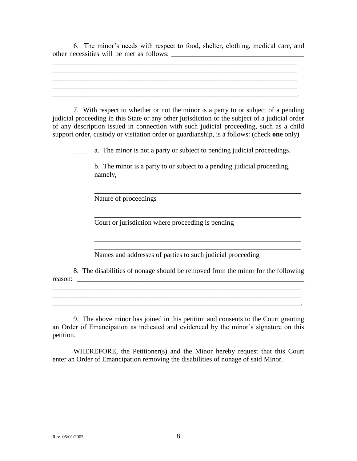6. The minor's needs with respect to food, shelter, clothing, medical care, and other necessities will be met as follows: \_\_\_\_\_\_\_\_\_\_\_\_\_\_\_\_\_\_\_\_\_\_\_\_\_\_\_\_\_\_\_\_\_\_\_\_\_\_

 $\mathcal{L}_\mathcal{L} = \{ \mathcal{L}_\mathcal{L} = \{ \mathcal{L}_\mathcal{L} = \{ \mathcal{L}_\mathcal{L} = \{ \mathcal{L}_\mathcal{L} = \{ \mathcal{L}_\mathcal{L} = \{ \mathcal{L}_\mathcal{L} = \{ \mathcal{L}_\mathcal{L} = \{ \mathcal{L}_\mathcal{L} = \{ \mathcal{L}_\mathcal{L} = \{ \mathcal{L}_\mathcal{L} = \{ \mathcal{L}_\mathcal{L} = \{ \mathcal{L}_\mathcal{L} = \{ \mathcal{L}_\mathcal{L} = \{ \mathcal{L}_\mathcal{$ 

 $\mathcal{L}_\mathcal{L} = \mathcal{L}_\mathcal{L} = \mathcal{L}_\mathcal{L} = \mathcal{L}_\mathcal{L} = \mathcal{L}_\mathcal{L} = \mathcal{L}_\mathcal{L} = \mathcal{L}_\mathcal{L} = \mathcal{L}_\mathcal{L} = \mathcal{L}_\mathcal{L} = \mathcal{L}_\mathcal{L} = \mathcal{L}_\mathcal{L} = \mathcal{L}_\mathcal{L} = \mathcal{L}_\mathcal{L} = \mathcal{L}_\mathcal{L} = \mathcal{L}_\mathcal{L} = \mathcal{L}_\mathcal{L} = \mathcal{L}_\mathcal{L}$ 

\_\_\_\_\_\_\_\_\_\_\_\_\_\_\_\_\_\_\_\_\_\_\_\_\_\_\_\_\_\_\_\_\_\_\_\_\_\_\_\_\_\_\_\_\_\_\_\_\_\_\_\_\_\_\_\_\_\_\_\_\_\_\_\_\_\_\_\_\_\_

7. With respect to whether or not the minor is a party to or subject of a pending judicial proceeding in this State or any other jurisdiction or the subject of a judicial order of any description issued in connection with such judicial proceeding, such as a child support order, custody or visitation order or guardianship, is a follows: (check **one** only)

\_\_\_\_ a. The minor is not a party or subject to pending judicial proceedings.

\_\_\_\_\_\_\_\_\_\_\_\_\_\_\_\_\_\_\_\_\_\_\_\_\_\_\_\_\_\_\_\_\_\_\_\_\_\_\_\_\_\_\_\_\_\_\_\_\_\_\_\_\_\_\_\_\_\_\_

\_\_\_\_\_\_\_\_\_\_\_\_\_\_\_\_\_\_\_\_\_\_\_\_\_\_\_\_\_\_\_\_\_\_\_\_\_\_\_\_\_\_\_\_\_\_\_\_\_\_\_\_\_\_\_\_\_\_\_

\_\_\_\_\_\_\_\_\_\_\_\_\_\_\_\_\_\_\_\_\_\_\_\_\_\_\_\_\_\_\_\_\_\_\_\_\_\_\_\_\_\_\_\_\_\_\_\_\_\_\_\_\_\_\_\_\_\_\_

 $\mathcal{L}_\mathcal{L} = \mathcal{L}_\mathcal{L} = \mathcal{L}_\mathcal{L} = \mathcal{L}_\mathcal{L} = \mathcal{L}_\mathcal{L} = \mathcal{L}_\mathcal{L} = \mathcal{L}_\mathcal{L} = \mathcal{L}_\mathcal{L} = \mathcal{L}_\mathcal{L} = \mathcal{L}_\mathcal{L} = \mathcal{L}_\mathcal{L} = \mathcal{L}_\mathcal{L} = \mathcal{L}_\mathcal{L} = \mathcal{L}_\mathcal{L} = \mathcal{L}_\mathcal{L} = \mathcal{L}_\mathcal{L} = \mathcal{L}_\mathcal{L}$ 

\_\_\_\_\_\_\_\_\_\_\_\_\_\_\_\_\_\_\_\_\_\_\_\_\_\_\_\_\_\_\_\_\_\_\_\_\_\_\_\_\_\_\_\_\_\_\_\_\_\_\_\_\_\_\_\_\_\_\_

\_\_\_\_ b. The minor is a party to or subject to a pending judicial proceeding, namely,

Nature of proceedings

Court or jurisdiction where proceeding is pending

Names and addresses of parties to such judicial proceeding

8. The disabilities of nonage should be removed from the minor for the following reason:

\_\_\_\_\_\_\_\_\_\_\_\_\_\_\_\_\_\_\_\_\_\_\_\_\_\_\_\_\_\_\_\_\_\_\_\_\_\_\_\_\_\_\_\_\_\_\_\_\_\_\_\_\_\_\_\_\_\_\_\_\_\_\_\_\_\_\_\_\_\_\_

9. The above minor has joined in this petition and consents to the Court granting an Order of Emancipation as indicated and evidenced by the minor's signature on this petition.

WHEREFORE, the Petitioner(s) and the Minor hereby request that this Court enter an Order of Emancipation removing the disabilities of nonage of said Minor.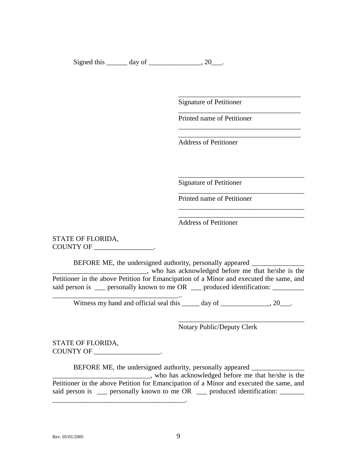Signed this  $\_\_\_\_\$  day of  $\_\_\_\_\_\_\$ , 20 $\_\_\_\$ .

Signature of Petitioner

Printed name of Petitioner

\_\_\_\_\_\_\_\_\_\_\_\_\_\_\_\_\_\_\_\_\_\_\_\_\_\_\_\_\_\_\_\_\_\_\_

\_\_\_\_\_\_\_\_\_\_\_\_\_\_\_\_\_\_\_\_\_\_\_\_\_\_\_\_\_\_\_\_\_\_\_

\_\_\_\_\_\_\_\_\_\_\_\_\_\_\_\_\_\_\_\_\_\_\_\_\_\_\_\_\_\_\_\_\_\_\_ \_\_\_\_\_\_\_\_\_\_\_\_\_\_\_\_\_\_\_\_\_\_\_\_\_\_\_\_\_\_\_\_\_\_\_

\_\_\_\_\_\_\_\_\_\_\_\_\_\_\_\_\_\_\_\_\_\_\_\_\_\_\_\_\_\_\_\_\_\_\_\_

\_\_\_\_\_\_\_\_\_\_\_\_\_\_\_\_\_\_\_\_\_\_\_\_\_\_\_\_\_\_\_\_\_\_\_\_

\_\_\_\_\_\_\_\_\_\_\_\_\_\_\_\_\_\_\_\_\_\_\_\_\_\_\_\_\_\_\_\_\_\_\_\_

\_\_\_\_\_\_\_\_\_\_\_\_\_\_\_\_\_\_\_\_\_\_\_\_\_\_\_\_\_\_\_\_\_\_\_\_

Address of Petitioner

Signature of Petitioner

Printed name of Petitioner

Address of Petitioner

STATE OF FLORIDA, COUNTY OF \_\_\_\_\_\_\_\_\_\_\_\_\_\_\_\_\_.

BEFORE ME, the undersigned authority, personally appeared \_\_\_\_\_\_\_\_\_\_\_\_\_\_\_\_\_\_\_\_\_\_\_\_\_\_\_, who has acknowledged before me that he/she is the Petitioner in the above Petition for Emancipation of a Minor and executed the same, and said person is \_\_\_ personally known to me OR \_\_\_ produced identification:

Witness my hand and official seal this day of \_\_\_\_\_\_\_\_\_\_\_\_\_, 20\_\_\_.

Notary Public/Deputy Clerk

STATE OF FLORIDA, COUNTY OF \_\_\_\_\_\_\_\_\_\_\_\_\_\_\_\_\_\_\_.

\_\_\_\_\_\_\_\_\_\_\_\_\_\_\_\_\_\_\_\_\_\_\_\_\_\_\_\_\_\_\_\_\_\_\_\_..

BEFORE ME, the undersigned authority, personally appeared \_\_\_\_\_\_\_\_\_\_\_\_\_\_\_\_\_\_\_\_\_\_

\_\_\_\_\_\_\_\_\_\_\_\_\_\_\_\_\_\_\_\_\_\_\_\_\_\_\_\_, who has acknowledged before me that he/she is the Petitioner in the above Petition for Emancipation of a Minor and executed the same, and said person is \_\_\_ personally known to me OR \_\_\_ produced identification: \_\_\_\_\_\_ \_\_\_\_\_\_\_\_\_\_\_\_\_\_\_\_\_\_\_\_\_\_\_\_\_\_\_\_\_\_\_\_\_\_\_\_\_\_.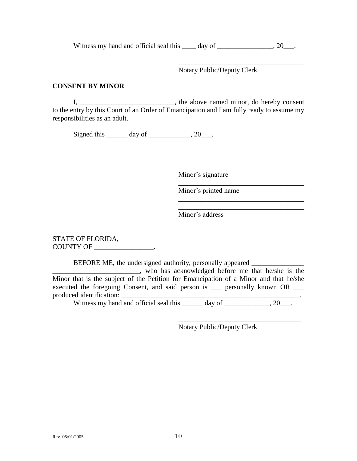Witness my hand and official seal this \_\_\_\_ day of \_\_\_\_\_\_\_\_\_\_\_\_\_\_, 20\_\_\_.

Notary Public/Deputy Clerk

\_\_\_\_\_\_\_\_\_\_\_\_\_\_\_\_\_\_\_\_\_\_\_\_\_\_\_\_\_\_\_\_\_\_\_\_

\_\_\_\_\_\_\_\_\_\_\_\_\_\_\_\_\_\_\_\_\_\_\_\_\_\_\_\_\_\_\_\_\_\_\_\_

\_\_\_\_\_\_\_\_\_\_\_\_\_\_\_\_\_\_\_\_\_\_\_\_\_\_\_\_\_\_\_\_\_\_\_\_

\_\_\_\_\_\_\_\_\_\_\_\_\_\_\_\_\_\_\_\_\_\_\_\_\_\_\_\_\_\_\_\_\_\_\_\_ \_\_\_\_\_\_\_\_\_\_\_\_\_\_\_\_\_\_\_\_\_\_\_\_\_\_\_\_\_\_\_\_\_\_\_\_

### **CONSENT BY MINOR**

I, \_\_\_\_\_\_\_\_\_\_\_\_\_\_\_\_\_\_\_\_\_\_\_\_\_, the above named minor, do hereby consent to the entry by this Court of an Order of Emancipation and I am fully ready to assume my responsibilities as an adult.

Signed this  $\_\_\_\_\_\$  day of  $\_\_\_\_\_\_\$ , 20 $\_\_\_\_\$ .

Minor's signature

Minor's printed name

Minor's address

STATE OF FLORIDA, COUNTY OF \_\_\_\_\_\_\_\_\_\_\_\_\_\_\_\_\_.

BEFORE ME, the undersigned authority, personally appeared

\_\_\_\_\_\_\_\_\_\_\_\_\_\_\_\_\_\_\_\_\_\_\_\_\_, who has acknowledged before me that he/she is the Minor that is the subject of the Petition for Emancipation of a Minor and that he/she executed the foregoing Consent, and said person is \_\_\_ personally known OR \_\_\_ produced identification:

Witness my hand and official seal this  $\qquad \qquad$  day of  $\qquad \qquad$ , 20

\_\_\_\_\_\_\_\_\_\_\_\_\_\_\_\_\_\_\_\_\_\_\_\_\_\_\_\_\_\_\_\_\_\_\_ Notary Public/Deputy Clerk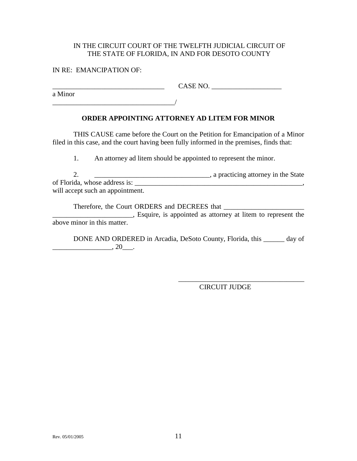### IN THE CIRCUIT COURT OF THE TWELFTH JUDICIAL CIRCUIT OF THE STATE OF FLORIDA, IN AND FOR DESOTO COUNTY

### IN RE: EMANCIPATION OF:

 $CASE NO.$ 

a Minor

\_\_\_\_\_\_\_\_\_\_\_\_\_\_\_\_\_\_\_\_\_\_\_\_\_\_\_\_\_\_\_\_\_\_\_/

## **ORDER APPOINTING ATTORNEY AD LITEM FOR MINOR**

THIS CAUSE came before the Court on the Petition for Emancipation of a Minor filed in this case, and the court having been fully informed in the premises, finds that:

1. An attorney ad litem should be appointed to represent the minor.

2. \_\_\_\_\_\_\_\_\_\_\_\_\_\_\_\_\_\_\_\_\_\_\_\_\_\_\_\_\_\_\_\_\_, a practicing attorney in the State of Florida, whose address is: will accept such an appointment.

Therefore, the Court ORDERS and DECREES that \_\_\_\_\_\_\_\_\_\_\_\_\_\_\_\_\_\_\_\_\_\_\_ **Exercise 2.1** Esquire, is appointed as attorney at litem to represent the above minor in this matter.

DONE AND ORDERED in Arcadia, DeSoto County, Florida, this \_\_\_\_\_\_ day of  $\ldots$ , 20 $\ldots$ 

CIRCUIT JUDGE

\_\_\_\_\_\_\_\_\_\_\_\_\_\_\_\_\_\_\_\_\_\_\_\_\_\_\_\_\_\_\_\_\_\_\_\_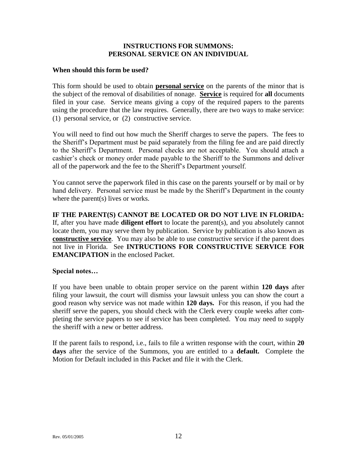### **INSTRUCTIONS FOR SUMMONS: PERSONAL SERVICE ON AN INDIVIDUAL**

### **When should this form be used?**

This form should be used to obtain **personal service** on the parents of the minor that is the subject of the removal of disabilities of nonage. **Service** is required for **all** documents filed in your case. Service means giving a copy of the required papers to the parents using the procedure that the law requires. Generally, there are two ways to make service: (1) personal service, or (2) constructive service.

You will need to find out how much the Sheriff charges to serve the papers. The fees to the Sheriff's Department must be paid separately from the filing fee and are paid directly to the Sheriff's Department. Personal checks are not acceptable. You should attach a cashier's check or money order made payable to the Sheriff to the Summons and deliver all of the paperwork and the fee to the Sheriff's Department yourself.

You cannot serve the paperwork filed in this case on the parents yourself or by mail or by hand delivery. Personal service must be made by the Sheriff's Department in the county where the parent(s) lives or works.

**IF THE PARENT(S) CANNOT BE LOCATED OR DO NOT LIVE IN FLORIDA:**  If, after you have made **diligent effort** to locate the parent(s), and you absolutely cannot locate them, you may serve them by publication. Service by publication is also known as **constructive service**. You may also be able to use constructive service if the parent does not live in Florida. See **INTRUCTIONS FOR CONSTRUCTIVE SERVICE FOR EMANCIPATION** in the enclosed Packet.

### **Special notes…**

If you have been unable to obtain proper service on the parent within **120 days** after filing your lawsuit, the court will dismiss your lawsuit unless you can show the court a good reason why service was not made within **120 days.** For this reason, if you had the sheriff serve the papers, you should check with the Clerk every couple weeks after completing the service papers to see if service has been completed. You may need to supply the sheriff with a new or better address.

If the parent fails to respond, i.e., fails to file a written response with the court, within **20 days** after the service of the Summons, you are entitled to a **default.** Complete the Motion for Default included in this Packet and file it with the Clerk.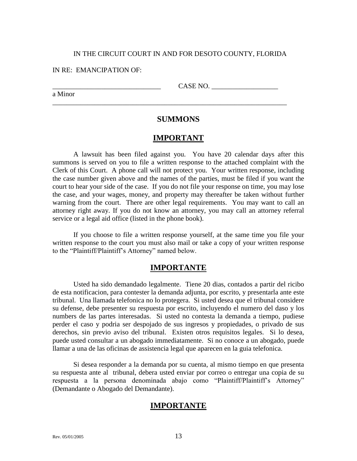#### IN RE: EMANCIPATION OF:

a Minor

CASE NO.

### **SUMMONS**

\_\_\_\_\_\_\_\_\_\_\_\_\_\_\_\_\_\_\_\_\_\_\_\_\_\_\_\_\_\_\_\_\_\_\_\_\_\_\_\_\_\_\_\_\_\_\_\_\_\_\_\_\_\_\_\_\_\_\_\_\_\_\_\_\_\_\_

### **IMPORTANT**

A lawsuit has been filed against you. You have 20 calendar days after this summons is served on you to file a written response to the attached complaint with the Clerk of this Court. A phone call will not protect you. Your written response, including the case number given above and the names of the parties, must be filed if you want the court to hear your side of the case. If you do not file your response on time, you may lose the case, and your wages, money, and property may thereafter be taken without further warning from the court. There are other legal requirements. You may want to call an attorney right away. If you do not know an attorney, you may call an attorney referral service or a legal aid office (listed in the phone book).

If you choose to file a written response yourself, at the same time you file your written response to the court you must also mail or take a copy of your written response to the "Plaintiff/Plaintiff's Attorney" named below.

### **IMPORTANTE**

Usted ha sido demandado legalmente. Tiene 20 dias, contados a partir del ricibo de esta notificacion, para contester la demanda adjunta, por escrito, y presentarla ante este tribunal. Una llamada telefonica no lo protegera. Si usted desea que el tribunal considere su defense, debe presenter su respuesta por escrito, incluyendo el numero del daso y los numbers de las partes interesadas. Si usted no contesta la demanda a tiempo, pudiese perder el caso y podria ser despojado de sus ingresos y propiedades, o privado de sus derechos, sin previo aviso del tribunal. Existen otros requisitos legales. Si lo desea, puede usted consultar a un abogado immediatamente. Si no conoce a un abogado, puede llamar a una de las oficinas de assistencia legal que aparecen en la guia telefonica.

Si desea responder a la demanda por su cuenta, al mismo tiempo en que presenta su respuesta ante al tribunal, debera usted enviar por correo o entregar una copia de su respuesta a la persona denominada abajo como "Plaintiff/Plaintiff's Attorney" (Demandante o Abogado del Demandante).

## **IMPORTANTE**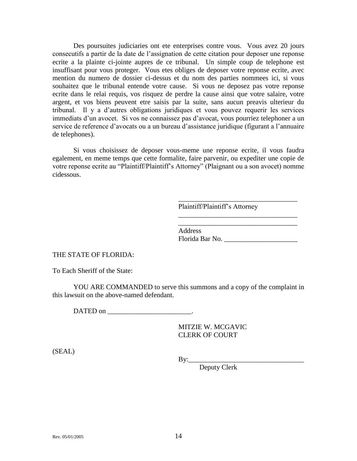Des poursuites judiciaries ont ete enterprises contre vous. Vous avez 20 jours consecutifs a partir de la date de l'assignation de cette citation pour deposer une reponse ecrite a la plainte ci-jointe aupres de ce tribunal. Un simple coup de telephone est insuffisant pour vous proteger. Vous etes obliges de deposer votre reponse ecrite, avec mention du numero de dossier ci-dessus et du nom des parties nommees ici, si vous souhaitez que le tribunal entende votre cause. Si vous ne deposez pas votre reponse ecrite dans le relai requis, vos risquez de perdre la cause ainsi que votre salaire, votre argent, et vos biens peuvent etre saisis par la suite, sans aucun preavis ulterieur du tribunal. Il y a d'autres obligations juridiques et vous pouvez requerir les services immediats d'un avocet. Si vos ne connaissez pas d'avocat, vous pourriez telephoner a un service de reference d'avocats ou a un bureau d'assistance juridique (figurant a l'annuaire de telephones).

Si vous choisissez de deposer vous-meme une reponse ecrite, il vous faudra egalement, en meme temps que cette formalite, faire parvenir, ou expediter une copie de votre reponse ecrite au "Plaintiff/Plaintiff's Attorney" (Plaignant ou a son avocet) nomme cidessous.

Plaintiff/Plaintiff's Attorney

Address Florida Bar No. \_\_\_\_\_\_\_\_\_\_\_\_\_\_\_\_\_\_\_\_\_

 $\mathcal{L}_\text{max}$  and  $\mathcal{L}_\text{max}$  and  $\mathcal{L}_\text{max}$  and  $\mathcal{L}_\text{max}$ 

\_\_\_\_\_\_\_\_\_\_\_\_\_\_\_\_\_\_\_\_\_\_\_\_\_\_\_\_\_\_\_\_\_\_

\_\_\_\_\_\_\_\_\_\_\_\_\_\_\_\_\_\_\_\_\_\_\_\_\_\_\_\_\_\_\_\_\_\_

THE STATE OF FLORIDA:

To Each Sheriff of the State:

YOU ARE COMMANDED to serve this summons and a copy of the complaint in this lawsuit on the above-named defendant.

DATED on

MITZIE W. MCGAVIC CLERK OF COURT

(SEAL)

 $By:$ 

Deputy Clerk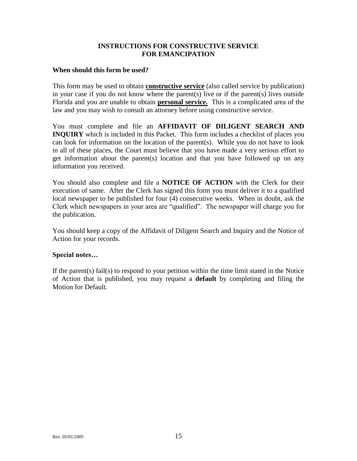### **INSTRUCTIONS FOR CONSTRUCTIVE SERVICE FOR EMANCIPATION**

#### **When should this form be used?**

This form may be used to obtain **constructive service** (also called service by publication) in your case if you do not know where the parent(s) live or if the parent(s) lives outside Florida and you are unable to obtain **personal service.** This is a complicated area of the law and you may wish to consult an attorney before using constructive service.

You must complete and file an **AFFIDAVIT OF DILIGENT SEARCH AND INQUIRY** which is included in this Packet. This form includes a checklist of places you can look for information on the location of the parent(s). While you do not have to look in all of these places, the Court must believe that you have made a very serious effort to get information about the parent(s) location and that you have followed up on any information you received.

You should also complete and file a **NOTICE OF ACTION** with the Clerk for their execution of same. After the Clerk has signed this form you must deliver it to a qualified local newspaper to be published for four (4) consecutive weeks. When in doubt, ask the Clerk which newspapers in your area are "qualified". The newspaper will charge you for the publication.

You should keep a copy of the Affidavit of Diligent Search and Inquiry and the Notice of Action for your records.

### **Special notes…**

If the parent(s) fail(s) to respond to your petition within the time limit stated in the Notice of Action that is published, you may request a **default** by completing and filing the Motion for Default.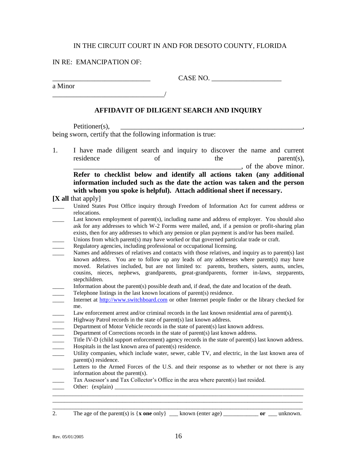#### IN RE: EMANCIPATION OF:

a Minor

\_\_\_\_\_\_\_\_\_\_\_\_\_\_\_\_\_\_\_\_\_\_\_\_\_\_\_\_ CASE NO. \_\_\_\_\_\_\_\_\_\_\_\_\_\_\_\_\_\_\_\_

\_\_\_\_\_\_\_\_\_\_\_\_\_\_\_\_\_\_\_\_\_\_\_\_\_\_\_\_\_\_\_\_/

### **AFFIDAVIT OF DILIGENT SEARCH AND INQUIRY**

Petitioner(s). being sworn, certify that the following information is true:

1. I have made diligent search and inquiry to discover the name and current residence of the parent(s),  $\blacksquare$ , of the above minor. **Refer to checklist below and identify all actions taken (any additional information included such as the date the action was taken and the person with whom you spoke is helpful). Attach additional sheet if necessary.**

**[X all** that apply]

| United States Post Office inquiry through Freedom of Information Act for current address or |  |  |  |  |  |  |
|---------------------------------------------------------------------------------------------|--|--|--|--|--|--|
| relocations.                                                                                |  |  |  |  |  |  |

- Last known employment of parent(s), including name and address of employer. You should also ask for any addresses to which W-2 Forms were mailed, and, if a pension or profit-sharing plan exists, then for any addresses to which any pension or plan payment is and/or has been mailed.
- Unions from which parent(s) may have worked or that governed particular trade or craft.
- Regulatory agencies, including professional or occupational licensing.
- Names and addresses of relatives and contacts with those relatives, and inquiry as to parent(s) last known address. You are to follow up any leads of any addresses where  $parent(s)$  may have moved. Relatives included, but are not limited to: parents, brothers, sisters, aunts, uncles, cousins, nieces, nephews, grandparents, great-grandparents, former in-laws, stepparents, stepchildren.
- Information about the parent(s) possible death and, if dead, the date and location of the death.
- Telephone listings in the last known locations of parent(s) residence.
- Internet at [http://www.switchboard.com](http://www.switchboard.com/) or other Internet people finder or the library checked for me.
- Law enforcement arrest and/or criminal records in the last known residential area of parent(s).
- Highway Patrol records in the state of parent(s) last known address.
- Department of Motor Vehicle records in the state of parent(s) last known address.
- Department of Corrections records in the state of parent(s) last known address.
- Title IV-D (child support enforcement) agency records in the state of parent(s) last known address. Hospitals in the last known area of parent $(s)$  residence.
- Utility companies, which include water, sewer, cable TV, and electric, in the last known area of parent(s) residence.
- Letters to the Armed Forces of the U.S. and their response as to whether or not there is any information about the parent(s).

\_\_\_\_\_\_\_\_\_\_\_\_\_\_\_\_\_\_\_\_\_\_\_\_\_\_\_\_\_\_\_\_\_\_\_\_\_\_\_\_\_\_\_\_\_\_\_\_\_\_\_\_\_\_\_\_\_\_\_\_\_\_\_\_\_\_\_\_\_\_\_\_\_\_\_\_\_\_\_\_\_\_\_\_\_\_ \_\_\_\_\_\_\_\_\_\_\_\_\_\_\_\_\_\_\_\_\_\_\_\_\_\_\_\_\_\_\_\_\_\_\_\_\_\_\_\_\_\_\_\_\_\_\_\_\_\_\_\_\_\_\_\_\_\_\_\_\_\_\_\_\_\_\_\_\_\_\_\_\_\_\_\_\_\_\_\_\_\_\_\_\_\_

- Tax Assessor's and Tax Collector's Office in the area where parent(s) last resided.
- Other:  $(explain)$

\_\_\_\_\_\_\_\_\_\_\_\_\_\_\_\_\_\_\_\_\_\_\_\_\_\_\_\_\_\_\_\_\_\_\_\_\_\_\_\_\_\_\_\_\_\_\_\_\_\_\_\_\_\_\_\_\_\_\_\_\_\_\_\_\_\_\_\_\_\_\_\_\_\_\_\_\_\_\_\_\_\_\_\_\_\_

2. The age of the parent(s) is {**x one** only} \_\_\_ known (enter age) \_\_\_\_\_\_\_\_\_\_\_\_ **or** \_\_\_ unknown.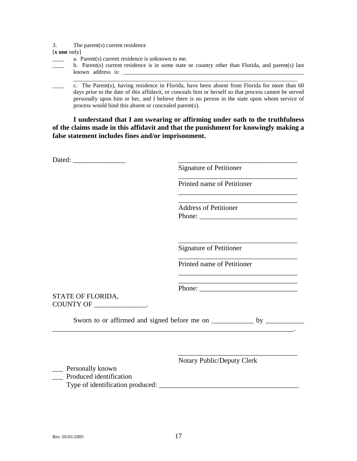3. The parent(s) current residence

[**x one** only]

- a. Parent(s) current residence is unknown to me.
- b. Parent(s) current residence is in some state or country other than Florida, and parent(s) last known address is:

\_\_\_\_\_\_\_\_\_\_\_\_\_\_\_\_\_\_\_\_\_\_\_\_\_\_\_\_\_\_\_\_\_\_\_\_\_\_\_\_\_\_\_\_\_\_\_\_\_\_\_\_\_\_\_\_\_\_\_\_\_\_\_\_\_\_\_\_\_\_\_\_\_\_\_\_\_

c. The Parent(s), having residence in Florida, have been absent from Florida for more than 60 days prior to the date of this affidavit, or conceals him or herself so that process cannot be served personally upon him or her, and I believe there is no person in the state upon whom service of process would bind this absent or concealed parent(s).

**I understand that I am swearing or affirming under oath to the truthfulness of the claims made in this affidavit and that the punishment for knowingly making a false statement includes fines and/or imprisonment.**

|                                                   | <b>Signature of Petitioner</b>                                                                             |
|---------------------------------------------------|------------------------------------------------------------------------------------------------------------|
|                                                   | Printed name of Petitioner                                                                                 |
|                                                   | the control of the control of the control of the control of the control of<br><b>Address of Petitioner</b> |
|                                                   | <b>Signature of Petitioner</b>                                                                             |
|                                                   | Printed name of Petitioner                                                                                 |
| STATE OF FLORIDA,<br>COUNTY OF _________________. |                                                                                                            |
|                                                   |                                                                                                            |
|                                                   | <b>Notary Public/Deputy Clerk</b>                                                                          |
| ___ Personally known<br>Produced identification   |                                                                                                            |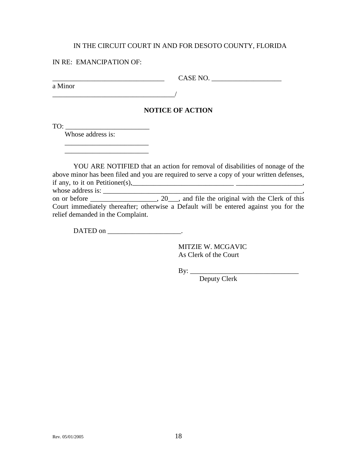#### IN RE: EMANCIPATION OF:

a Minor

 $\text{CASE NO.}$ 

\_\_\_\_\_\_\_\_\_\_\_\_\_\_\_\_\_\_\_\_\_\_\_\_\_\_\_\_\_\_\_\_\_\_\_/

### **NOTICE OF ACTION**

TO: \_\_\_\_\_\_\_\_\_\_\_\_\_\_\_\_\_\_\_\_\_\_\_\_

Whose address is:

 $\overline{\phantom{a}}$  ,  $\overline{\phantom{a}}$  ,  $\overline{\phantom{a}}$  ,  $\overline{\phantom{a}}$  ,  $\overline{\phantom{a}}$  ,  $\overline{\phantom{a}}$  ,  $\overline{\phantom{a}}$  ,  $\overline{\phantom{a}}$  ,  $\overline{\phantom{a}}$  ,  $\overline{\phantom{a}}$  ,  $\overline{\phantom{a}}$  ,  $\overline{\phantom{a}}$  ,  $\overline{\phantom{a}}$  ,  $\overline{\phantom{a}}$  ,  $\overline{\phantom{a}}$  ,  $\overline{\phantom{a}}$  $\overline{\phantom{a}}$  ,  $\overline{\phantom{a}}$  ,  $\overline{\phantom{a}}$  ,  $\overline{\phantom{a}}$  ,  $\overline{\phantom{a}}$  ,  $\overline{\phantom{a}}$  ,  $\overline{\phantom{a}}$  ,  $\overline{\phantom{a}}$  ,  $\overline{\phantom{a}}$  ,  $\overline{\phantom{a}}$  ,  $\overline{\phantom{a}}$  ,  $\overline{\phantom{a}}$  ,  $\overline{\phantom{a}}$  ,  $\overline{\phantom{a}}$  ,  $\overline{\phantom{a}}$  ,  $\overline{\phantom{a}}$ 

YOU ARE NOTIFIED that an action for removal of disabilities of nonage of the above minor has been filed and you are required to serve a copy of your written defenses, if any, to it on Petitioner(s),  $\qquad \qquad$   $\qquad$   $\qquad$   $\qquad$   $\qquad$   $\qquad$   $\qquad$   $\qquad$   $\qquad$   $\qquad$   $\qquad$   $\qquad$   $\qquad$   $\qquad$   $\qquad$   $\qquad$   $\qquad$   $\qquad$   $\qquad$   $\qquad$   $\qquad$   $\qquad$   $\qquad$   $\qquad$   $\qquad$   $\qquad$   $\qquad$   $\qquad$   $\qquad$   $\qquad$   $\qquad$  whose address is: \_\_\_\_\_\_\_\_\_\_\_\_\_\_\_\_\_\_\_\_\_\_\_\_\_\_\_\_\_\_\_\_\_\_\_\_\_\_\_\_\_\_\_\_\_\_\_\_\_\_\_\_\_\_\_\_\_,

on or before \_\_\_\_\_\_\_\_\_\_\_\_, 20\_\_, and file the original with the Clerk of this Court immediately thereafter; otherwise a Default will be entered against you for the relief demanded in the Complaint.

DATED on \_\_\_\_\_\_\_\_\_\_\_\_\_\_\_\_\_\_\_\_\_.

MITZIE W. MCGAVIC As Clerk of the Court

By: \_\_\_\_\_\_\_\_\_\_\_\_\_\_\_\_\_\_\_\_\_\_\_\_\_\_\_\_\_\_\_

Deputy Clerk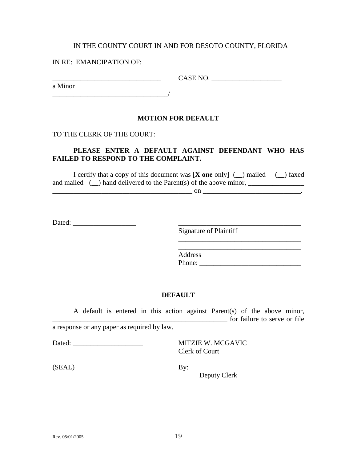#### IN RE: EMANCIPATION OF:

a Minor

 $CASE NO.$ 

\_\_\_\_\_\_\_\_\_\_\_\_\_\_\_\_\_\_\_\_\_\_\_\_\_\_\_\_\_\_\_\_\_/

### **MOTION FOR DEFAULT**

#### TO THE CLERK OF THE COURT:

### **PLEASE ENTER A DEFAULT AGAINST DEFENDANT WHO HAS FAILED TO RESPOND TO THE COMPLAINT.**

I certify that a copy of this document was [**X one** only] (\_\_) mailed (\_\_) faxed and mailed  $\Box$ ) hand delivered to the Parent(s) of the above minor,

 $\qquad \qquad \text{on} \qquad \qquad \qquad \qquad \text{on} \qquad \qquad \text{on}$ 

Dated: \_\_\_\_\_\_\_\_\_\_\_\_\_\_\_\_\_\_ \_\_\_\_\_\_\_\_\_\_\_\_\_\_\_\_\_\_\_\_\_\_\_\_\_\_\_\_\_\_\_\_\_\_\_

Signature of Plaintiff

Address Phone: \_\_\_\_\_\_\_\_\_\_\_\_\_\_\_\_\_\_\_\_\_\_\_\_\_\_\_\_\_

\_\_\_\_\_\_\_\_\_\_\_\_\_\_\_\_\_\_\_\_\_\_\_\_\_\_\_\_\_\_\_\_\_\_\_ \_\_\_\_\_\_\_\_\_\_\_\_\_\_\_\_\_\_\_\_\_\_\_\_\_\_\_\_\_\_\_\_\_\_\_

### **DEFAULT**

A default is entered in this action against Parent(s) of the above minor, \_\_\_\_\_\_\_\_\_\_\_\_\_\_\_\_\_\_\_\_\_\_\_\_\_\_\_\_\_\_\_\_\_\_\_\_\_\_\_\_\_\_\_\_\_\_\_\_\_\_ for failure to serve or file a response or any paper as required by law.

Dated: **NITZIE W. MCGAVIC** Clerk of Court

(SEAL) By: \_\_\_\_\_\_\_\_\_\_\_\_\_\_\_\_\_\_\_\_\_\_\_\_\_\_\_\_\_\_\_\_

Deputy Clerk